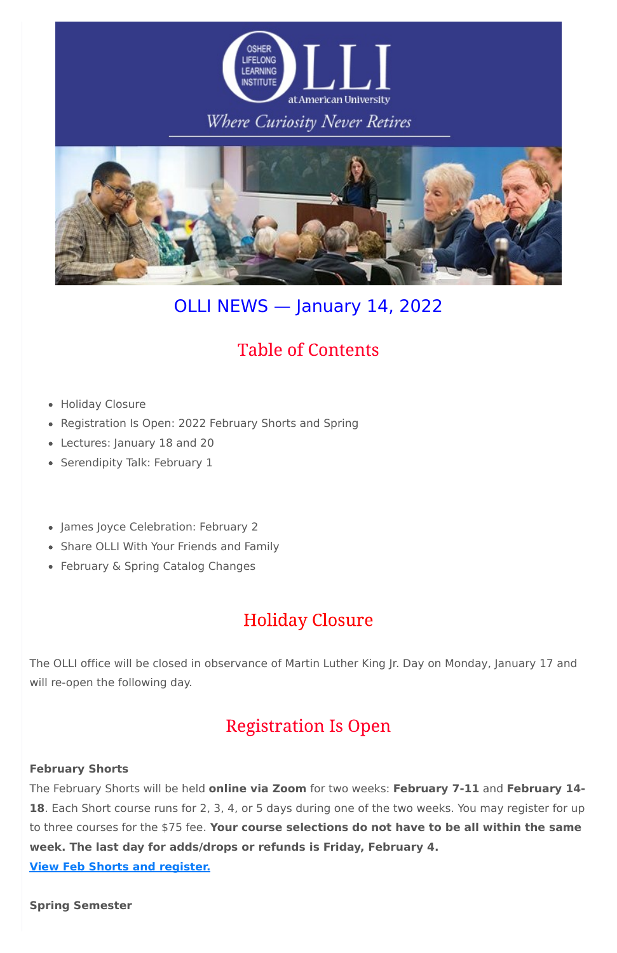

## Where Curiosity Never Retires



# OLLI NEWS — January 14, 2022

# **Table of Contents**

- Holiday Closure
- Registration Is Open: 2022 February Shorts and Spring
- Lectures: January 18 and 20
- Serendipity Talk: February 1
- James Joyce Celebration: February 2
- Share OLLI With Your Friends and Family
- February & Spring Catalog Changes

# **Holiday Closure**

The OLLI office will be closed in observance of Martin Luther King Jr. Day on Monday, January 17 and will re-open the following day.

### **Registration Is Open**

#### **February Shorts**

The February Shorts will be held **online via Zoom** for two weeks: **February 7-11** and **February 14- 18**. Each Short course runs for 2, 3, 4, or 5 days during one of the two weeks. You may register for up to three courses for the \$75 fee. **Your course selections do not have to be all within the same week. The last day for adds/drops or refunds is Friday, February 4. View Feb Shorts and [register.](https://www.olli-dc.org/shorts_courses)**

**Spring Semester**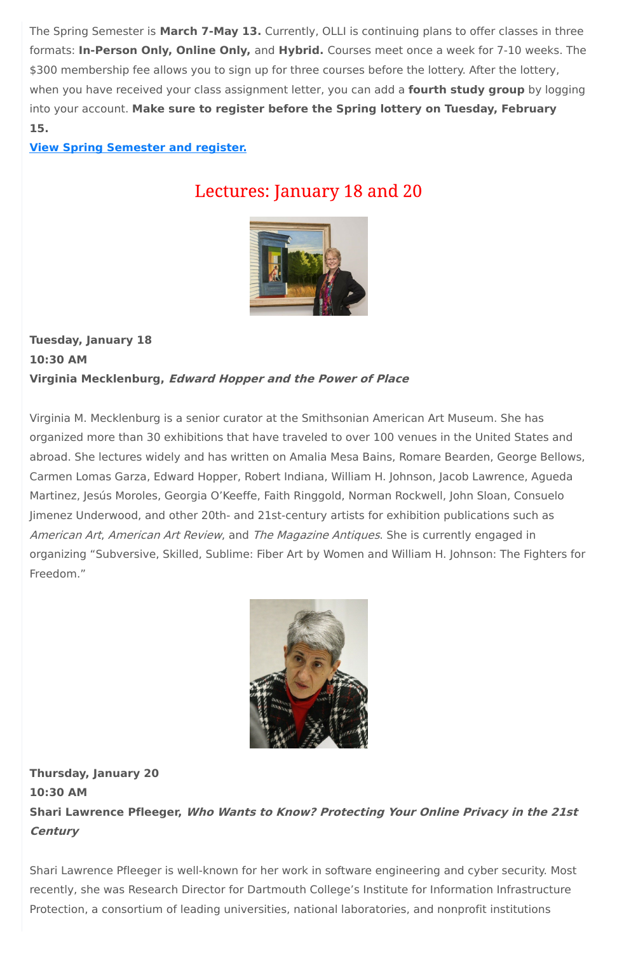The Spring Semester is **March 7-May 13.** Currently, OLLI is continuing plans to offer classes in three formats: **In-Person Only, Online Only,** and **Hybrid.** Courses meet once a week for 7-10 weeks. The \$300 membership fee allows you to sign up for three courses before the lottery. After the lottery, when you have received your class assignment letter, you can add a **fourth study group** by logging into your account. **Make sure to register before the Spring lottery on Tuesday, February 15.**

### **View Spring [Semester](https://www.olli-dc.org/view_all_study_groups) and register.**

## Lectures: January 18 and 20



### **Tuesday, January 18 10:30 AM Virginia Mecklenburg, Edward Hopper and the Power of Place**

Virginia M. Mecklenburg is a senior curator at the Smithsonian American Art Museum. She has organized more than 30 exhibitions that have traveled to over 100 venues in the United States and abroad. She lectures widely and has written on Amalia Mesa Bains, Romare Bearden, George Bellows, Carmen Lomas Garza, Edward Hopper, Robert Indiana, William H. Johnson, Jacob Lawrence, Agueda Martinez, Jesús Moroles, Georgia O'Keeffe, Faith Ringgold, Norman Rockwell, John Sloan, Consuelo Jimenez Underwood, and other 20th- and 21st-century artists for exhibition publications such as American Art, American Art Review, and The Magazine Antiques. She is currently engaged in organizing "Subversive, Skilled, Sublime: Fiber Art by Women and William H. Johnson: The Fighters for Freedom."



**Thursday, January 20**

**10:30 AM**

**Shari Lawrence Pfleeger, Who Wants to Know? Protecting Your Online Privacy in the 21st Century**

Shari Lawrence Pfleeger is well-known for her work in software engineering and cyber security. Most recently, she was Research Director for Dartmouth College's Institute for Information Infrastructure Protection, a consortium of leading universities, national laboratories, and nonprofit institutions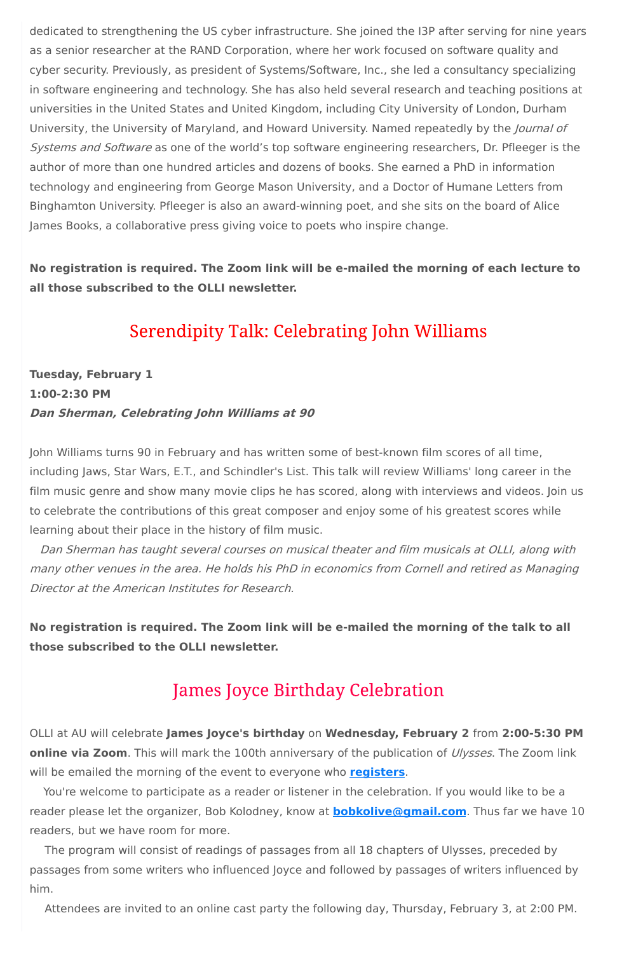dedicated to strengthening the US cyber infrastructure. She joined the I3P after serving for nine years as a senior researcher at the RAND Corporation, where her work focused on software quality and cyber security. Previously, as president of Systems/Software, Inc., she led a consultancy specializing in software engineering and technology. She has also held several research and teaching positions at universities in the United States and United Kingdom, including City University of London, Durham University, the University of Maryland, and Howard University. Named repeatedly by the *Journal of* Systems and Software as one of the world's top software engineering researchers, Dr. Pfleeger is the author of more than one hundred articles and dozens of books. She earned a PhD in information technology and engineering from George Mason University, and a Doctor of Humane Letters from Binghamton University. Pfleeger is also an award-winning poet, and she sits on the board of Alice James Books, a collaborative press giving voice to poets who inspire change.

**No registration is required. The Zoom link will be e-mailed the morning of each lecture to all those subscribed to the OLLI newsletter.**

## **Serendipity Talk: Celebrating John Williams**

### **Tuesday, February 1 1:00-2:30 PM Dan Sherman, Celebrating John Williams at 90**

John Williams turns 90 in February and has written some of best-known film scores of all time, including Jaws, Star Wars, E.T., and Schindler's List. This talk will review Williams' long career in the film music genre and show many movie clips he has scored, along with interviews and videos. Join us to celebrate the contributions of this great composer and enjoy some of his greatest scores while learning about their place in the history of film music.

Dan Sherman has taught several courses on musical theater and film musicals at OLLI, along with many other venues in the area. He holds his PhD in economics from Cornell and retired as Managing Director at the American Institutes for Research.

**No registration is required. The Zoom link will be e-mailed the morning of the talk to all those subscribed to the OLLI newsletter.**

### **James Joyce Birthday Celebration**

OLLI at AU will celebrate **James Joyce's birthday** on **Wednesday, February 2** from **2:00-5:30 PM online via Zoom**. This will mark the 100th anniversary of the publication of *Ulysses*. The Zoom link will be emailed the morning of the event to everyone who **[registers](https://www.olli-dc.org/EventRegistration/Register/894)**.

You're welcome to participate as a reader or listener in the celebration. If you would like to be a reader please let the organizer, Bob Kolodney, know at **[bobkolive@gmail.com](mailto:bobkolive@gmail.com)**. Thus far we have 10 readers, but we have room for more.

The program will consist of readings of passages from all 18 chapters of Ulysses, preceded by passages from some writers who influenced Joyce and followed by passages of writers influenced by him.

Attendees are invited to an online cast party the following day, Thursday, February 3, at 2:00 PM.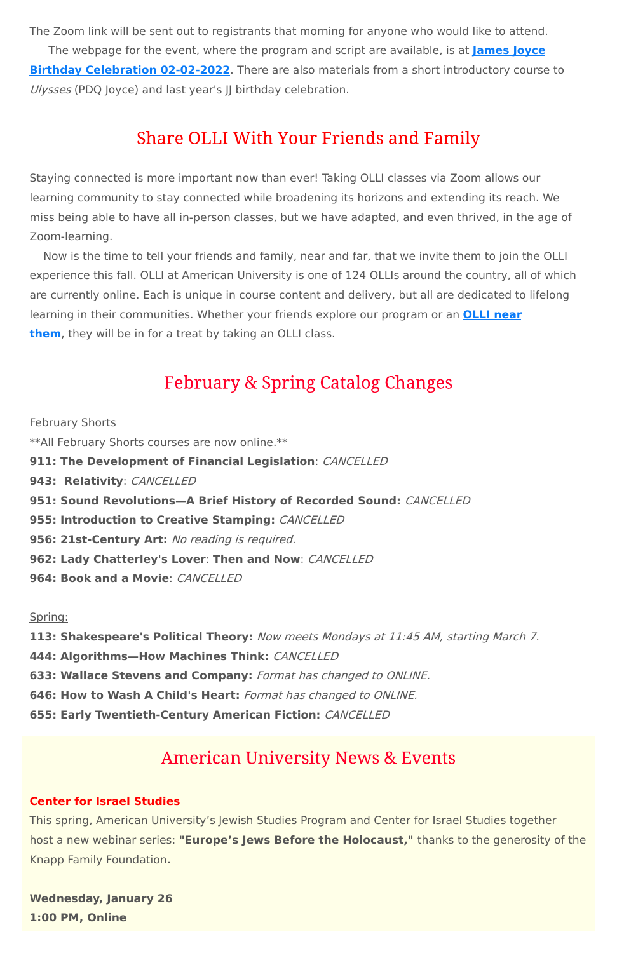The Zoom link will be sent out to registrants that morning for anyone who would like to attend. The webpage for the event, where the program and script are available, is at **James Joyce Birthday [Celebration](https://sites.google.com/view/jajoycebirthday2021/james-joyce-birthday-2022?authuser=0) 02-02-2022**. There are also materials from a short introductory course to Ulysses (PDQ Joyce) and last year's JJ birthday celebration.

## **Share OLLI With Your Friends and Family**

Staying connected is more important now than ever! Taking OLLI classes via Zoom allows our learning community to stay connected while broadening its horizons and extending its reach. We miss being able to have all in-person classes, but we have adapted, and even thrived, in the age of Zoom-learning.

**February Shorts** \*\*All February Shorts courses are now online.\*\* **911: The Development of Financial Legislation**: CANCELLED **943: Relativity**: CANCELLED **951: Sound Revolutions—A Brief History of Recorded Sound:** CANCELLED **955: Introduction to Creative Stamping:** CANCELLED **956: 21st-Century Art:** No reading is required. **962: Lady Chatterley's Lover**: **Then and Now**: CANCELLED **964: Book and a Movie**: CANCELLED

Now is the time to tell your friends and family, near and far, that we invite them to join the OLLI experience this fall. OLLI at American University is one of 124 OLLIs around the country, all of which are currently online. Each is unique in course content and delivery, but all are dedicated to lifelong learning in their [communities.](https://sps.northwestern.edu/oshernrc/files_nrc/lli_directory_2019.pdf) Whether your friends explore our program or an **OLLI near them**, they will be in for a treat by taking an OLLI class.

## **February & Spring Catalog Changes**

#### Spring:

**113: Shakespeare's Political Theory:** Now meets Mondays at 11:45 AM, starting March 7. **444: Algorithms—How Machines Think:** CANCELLED **633: Wallace Stevens and Company:** Format has changed to ONLINE. **646: How to Wash A Child's Heart:** Format has changed to ONLINE.

**655: Early Twentieth-Century American Fiction:** CANCELLED

### **American University News & Events**

#### **Center for Israel Studies**

This spring, American University's Jewish Studies Program and Center for Israel Studies together host a new webinar series: **"Europe's Jews Before the Holocaust,"** thanks to the generosity of the Knapp Family Foundation**.**

**Wednesday, January 26 1:00 PM, Online**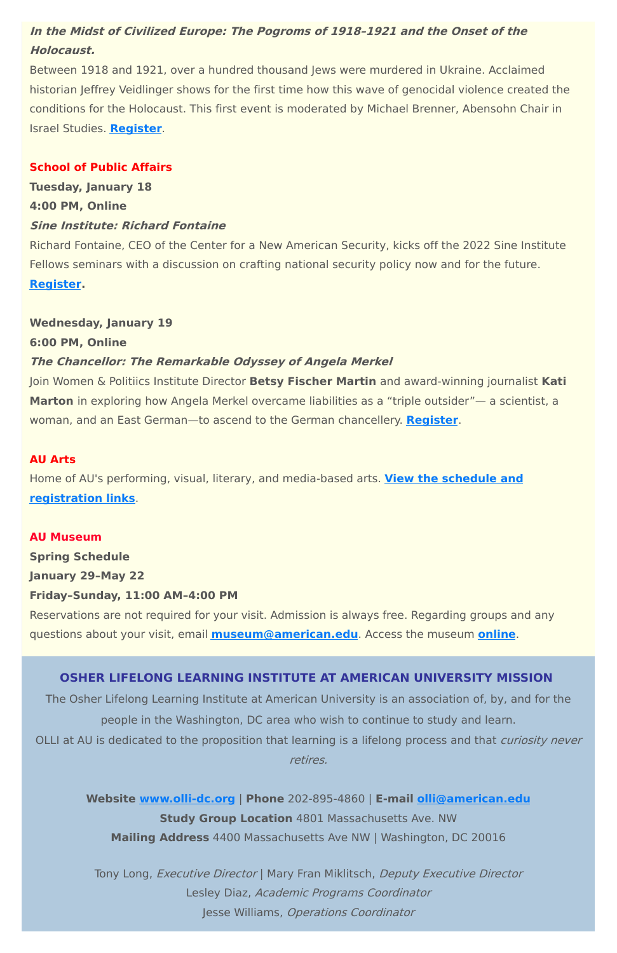### **In the Midst of Civilized Europe: The Pogroms of 1918–1921 and the Onset of the Holocaust.**

Between 1918 and 1921, over a hundred thousand Jews were murdered in Ukraine. Acclaimed historian Jeffrey Veidlinger shows for the first time how this wave of genocidal violence created the conditions for the Holocaust. This first event is moderated by Michael Brenner, Abensohn Chair in Israel Studies. **[Register](https://www.eventbrite.com/e/europes-jews-before-the-holocaust-series-jeffrey-veidlinger-january-26-tickets-227252176377)**.

### **School of Public Affairs**

**Tuesday, January 18 4:00 PM, Online Sine Institute: Richard Fontaine**

Richard Fontaine, CEO of the Center for a New American Security, kicks off the 2022 Sine Institute Fellows seminars with a discussion on crafting national security policy now and for the future. **[Register.](https://american.swoogo.com/fontaine/begin)**

#### **Wednesday, January 19**

**6:00 PM, Online**

### **The Chancellor: The Remarkable Odyssey of Angela Merkel**

OLLI at AU is dedicated to the proposition that learning is a lifelong process and that curiosity never retires.

Join Women & Politiics Institute Director **Betsy Fischer Martin** and award-winning journalist **Kati Marton** in exploring how Angela Merkel overcame liabilities as a "triple outsider"— a scientist, a woman, and an East German—to ascend to the German chancellery. **[Register](https://www.crowdcast.io/e/Kati-Marton/register)**.

> Tony Long, Executive Director | Mary Fran Miklitsch, Deputy Executive Director Lesley Diaz, Academic Programs Coordinator Jesse Williams, Operations Coordinator

### **AU Arts**

Home of AU's performing, visual, literary, and media-based arts. **View the schedule and [registration](https://www.american.edu/arts/) links**.

#### **AU Museum**

**Spring Schedule**

**January 29–May 22**

#### **Friday–Sunday, 11:00 AM–4:00 PM**

Reservations are not required for your visit. Admission is always free. Regarding groups and any questions about your visit, email **[museum@american.edu](mailto:museum@american.edu)**. Access the museum **[online](https://www.american.edu/cas/museum/reopening.cfm)**.

### **OSHER LIFELONG LEARNING INSTITUTE AT AMERICAN UNIVERSITY MISSION**

The Osher Lifelong Learning Institute at American University is an association of, by, and for the

people in the Washington, DC area who wish to continue to study and learn.

**Website [www.olli-dc.org](http://www.olli-dc.org/)** | **Phone** 202-895-4860 | **E-mail [olli@american.edu](mailto:olli@american.edu) Study Group Location** 4801 Massachusetts Ave. NW **Mailing Address** 4400 Massachusetts Ave NW | Washington, DC 20016